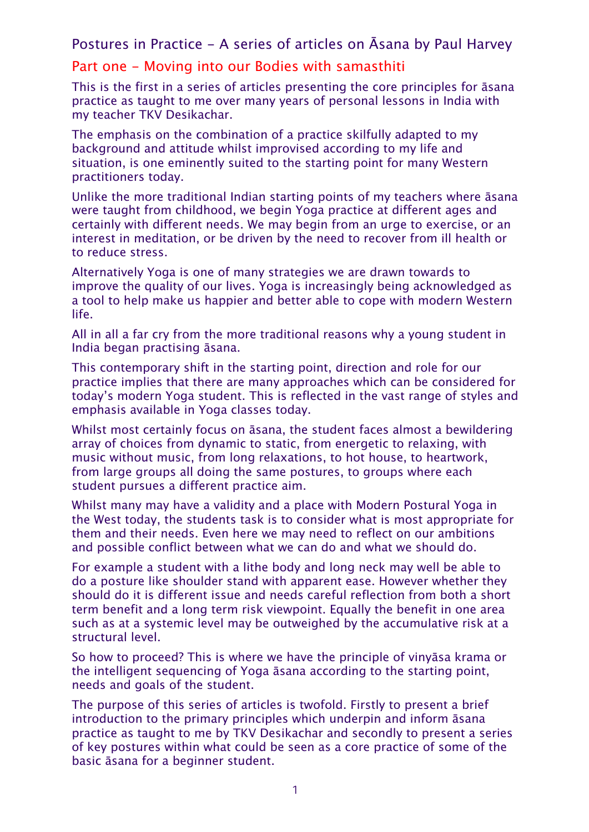## Postures in Practice - A series of articles on Āsana by Paul Harvey

## Part one - Moving into our Bodies with samasthiti

This is the first in a series of articles presenting the core principles for āsana practice as taught to me over many years of personal lessons in India with my teacher TKV Desikachar.

The emphasis on the combination of a practice skilfully adapted to my background and attitude whilst improvised according to my life and situation, is one eminently suited to the starting point for many Western practitioners today.

Unlike the more traditional Indian starting points of my teachers where āsana were taught from childhood, we begin Yoga practice at different ages and certainly with different needs. We may begin from an urge to exercise, or an interest in meditation, or be driven by the need to recover from ill health or to reduce stress.

Alternatively Yoga is one of many strategies we are drawn towards to improve the quality of our lives. Yoga is increasingly being acknowledged as a tool to help make us happier and better able to cope with modern Western life.

All in all a far cry from the more traditional reasons why a young student in India began practising āsana.

This contemporary shift in the starting point, direction and role for our practice implies that there are many approaches which can be considered for today's modern Yoga student. This is reflected in the vast range of styles and emphasis available in Yoga classes today.

Whilst most certainly focus on āsana, the student faces almost a bewildering array of choices from dynamic to static, from energetic to relaxing, with music without music, from long relaxations, to hot house, to heartwork, from large groups all doing the same postures, to groups where each student pursues a different practice aim.

Whilst many may have a validity and a place with Modern Postural Yoga in the West today, the students task is to consider what is most appropriate for them and their needs. Even here we may need to reflect on our ambitions and possible conflict between what we can do and what we should do.

For example a student with a lithe body and long neck may well be able to do a posture like shoulder stand with apparent ease. However whether they should do it is different issue and needs careful reflection from both a short term benefit and a long term risk viewpoint. Equally the benefit in one area such as at a systemic level may be outweighed by the accumulative risk at a structural level.

So how to proceed? This is where we have the principle of vinyāsa krama or the intelligent sequencing of Yoga āsana according to the starting point, needs and goals of the student.

The purpose of this series of articles is twofold. Firstly to present a brief introduction to the primary principles which underpin and inform āsana practice as taught to me by TKV Desikachar and secondly to present a series of key postures within what could be seen as a core practice of some of the basic āsana for a beginner student.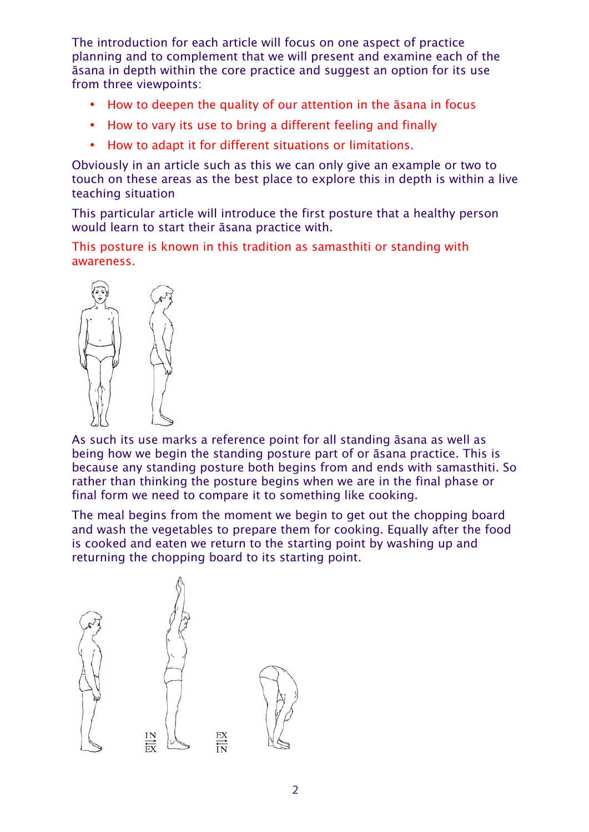The introduction for each article will focus on one aspect of practice planning and to complement that we will present and examine each of the āsana in depth within the core practice and suggest an option for its use from three viewpoints:

- How to deepen the quality of our attention in the āsana in focus
- How to vary its use to bring a different feeling and finally
- How to adapt it for different situations or limitations.

Obviously in an article such as this we can only give an example or two to touch on these areas as the best place to explore this in depth is within a live teaching situation

This particular article will introduce the first posture that a healthy person would learn to start their āsana practice with.

This posture is known in this tradition as samasthiti or standing with awareness.



As such its use marks a reference point for all standing āsana as well as being how we begin the standing posture part of or āsana practice. This is because any standing posture both begins from and ends with samasthiti. So rather than thinking the posture begins when we are in the final phase or final form we need to compare it to something like cooking.

The meal begins from the moment we begin to get out the chopping board and wash the vegetables to prepare them for cooking. Equally after the food is cooked and eaten we return to the starting point by washing up and returning the chopping board to its starting point.

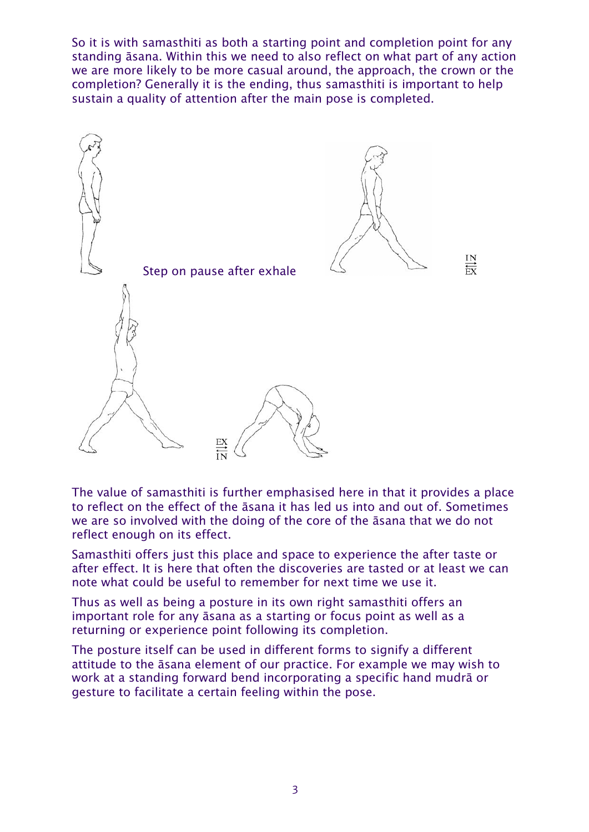So it is with samasthiti as both a starting point and completion point for any standing āsana. Within this we need to also reflect on what part of any action we are more likely to be more casual around, the approach, the crown or the completion? Generally it is the ending, thus samasthiti is important to help sustain a quality of attention after the main pose is completed.



The value of samasthiti is further emphasised here in that it provides a place to reflect on the effect of the āsana it has led us into and out of. Sometimes we are so involved with the doing of the core of the āsana that we do not reflect enough on its effect.

Samasthiti offers just this place and space to experience the after taste or after effect. It is here that often the discoveries are tasted or at least we can note what could be useful to remember for next time we use it.

Thus as well as being a posture in its own right samasthiti offers an important role for any āsana as a starting or focus point as well as a returning or experience point following its completion.

The posture itself can be used in different forms to signify a different attitude to the āsana element of our practice. For example we may wish to work at a standing forward bend incorporating a specific hand mudrā or gesture to facilitate a certain feeling within the pose.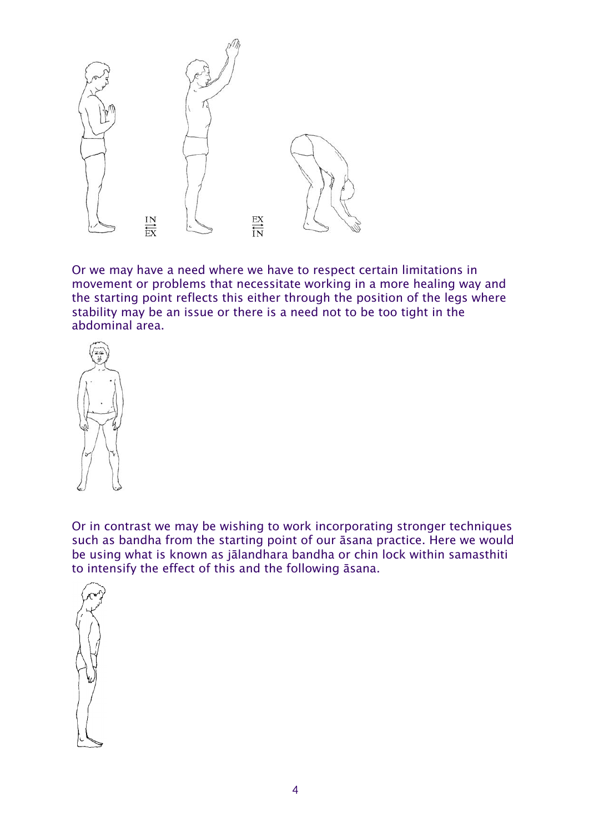

Or we may have a need where we have to respect certain limitations in movement or problems that necessitate working in a more healing way and the starting point reflects this either through the position of the legs where stability may be an issue or there is a need not to be too tight in the abdominal area.



Or in contrast we may be wishing to work incorporating stronger techniques such as bandha from the starting point of our āsana practice. Here we would be using what is known as jālandhara bandha or chin lock within samasthiti to intensify the effect of this and the following āsana.